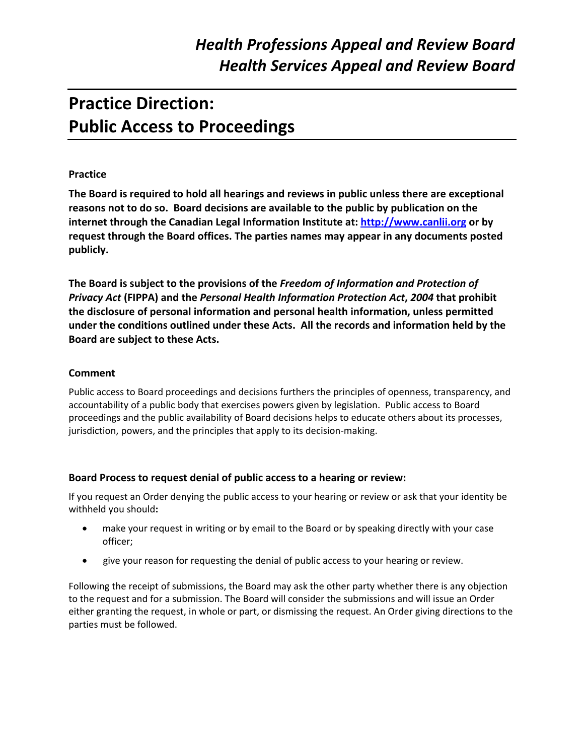# **Practice Direction: Public Access to Proceedings**

#### **Practice**

**The Board is required to hold all hearings and reviews in public unless there are exceptional reasons not to do so. Board decisions are available to the public by publication on the internet through the Canadian Legal Information Institute at: http://www.canlii.org or by request through the Board offices. The parties names may appear in any documents posted publicly.**

**The Board is subject to the provisions of the** *Freedom of Information and Protection of Privacy Act* **(FIPPA) and the** *Personal Health Information Protection Act***,** *2004* **that prohibit the disclosure of personal information and personal health information, unless permitted under the conditions outlined under these Acts. All the records and information held by the Board are subject to these Acts.** 

#### **Comment**

Public access to Board proceedings and decisions furthers the principles of openness, transparency, and accountability of a public body that exercises powers given by legislation. Public access to Board proceedings and the public availability of Board decisions helps to educate others about its processes, jurisdiction, powers, and the principles that apply to its decision‐making.

#### **Board Process to request denial of public access to a hearing or review:**

If you request an Order denying the public access to your hearing or review or ask that your identity be withheld you should**:**

- make your request in writing or by email to the Board or by speaking directly with your case officer;
- give your reason for requesting the denial of public access to your hearing or review.

Following the receipt of submissions, the Board may ask the other party whether there is any objection to the request and for a submission. The Board will consider the submissions and will issue an Order either granting the request, in whole or part, or dismissing the request. An Order giving directions to the parties must be followed.